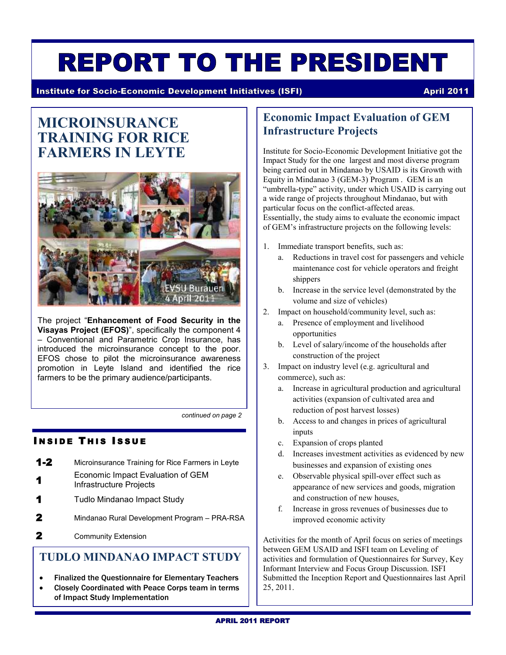# **REPORT TO THE PRESIDENT**

**Institute for Socio-Economic Development Initiatives (ISFI) April 2011 April 2011** 

# **MICROINSURANCE TRAINING FOR RICE FARMERS IN LEYTE**



The project "**Enhancement of Food Security in the Visayas Project (EFOS)**", specifically the component 4 – Conventional and Parametric Crop Insurance, has introduced the microinsurance concept to the poor. EFOS chose to pilot the microinsurance awareness promotion in Leyte Island and identified the rice farmers to be the primary audience/participants.

*continued on page 2*

#### **I N S I D E T H I S I S S U E**

- **1-2** Microinsurance Training for Rice Farmers in Leyte **1** Economic Impact Evaluation of GEM
- Infrastructure Projects
- **1** Tudlo Mindanao Impact Study
- **2** Mindanao Rural Development Program PRA-RSA
- **2** Community Extension

#### **TUDLO MINDANAO IMPACT STUDY**

- Finalized the Questionnaire for Elementary Teachers
- Closely Coordinated with Peace Corps team in terms of Impact Study Implementation

#### **Economic Impact Evaluation of GEM Infrastructure Projects**

Institute for Socio-Economic Development Initiative got the Impact Study for the one largest and most diverse program being carried out in Mindanao by USAID is its Growth with Equity in Mindanao 3 (GEM-3) Program . GEM is an "umbrella-type" activity, under which USAID is carrying out a wide range of projects throughout Mindanao, but with particular focus on the conflict-affected areas. Essentially, the study aims to evaluate the economic impact of GEM's infrastructure projects on the following levels:

- 1. Immediate transport benefits, such as:
	- a. Reductions in travel cost for passengers and vehicle maintenance cost for vehicle operators and freight shippers
	- b. Increase in the service level (demonstrated by the volume and size of vehicles)
- 2. Impact on household/community level, such as:
	- a. Presence of employment and livelihood opportunities
	- b. Level of salary/income of the households after construction of the project
- 3. Impact on industry level (e.g. agricultural and commerce), such as:
	- a. Increase in agricultural production and agricultural activities (expansion of cultivated area and reduction of post harvest losses)
	- b. Access to and changes in prices of agricultural inputs
	- c. Expansion of crops planted
	- d. Increases investment activities as evidenced by new businesses and expansion of existing ones
	- e. Observable physical spill-over effect such as appearance of new services and goods, migration and construction of new houses,
	- f. Increase in gross revenues of businesses due to improved economic activity

Activities for the month of April focus on series of meetings between GEM USAID and ISFI team on Leveling of activities and formulation of Questionnaires for Survey, Key Informant Interview and Focus Group Discussion. ISFI Submitted the Inception Report and Questionnaires last April 25, 2011.